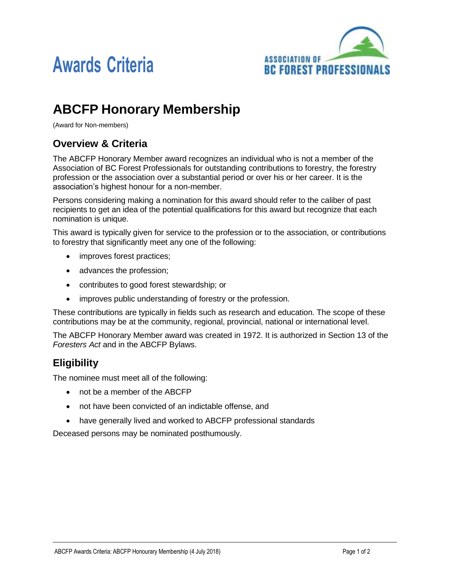



# **ABCFP Honorary Membership**

(Award for Non-members)

#### **Overview & Criteria**

The ABCFP Honorary Member award recognizes an individual who is not a member of the Association of BC Forest Professionals for outstanding contributions to forestry, the forestry profession or the association over a substantial period or over his or her career. It is the association's highest honour for a non-member.

Persons considering making a nomination for this award should refer to the caliber of past recipients to get an idea of the potential qualifications for this award but recognize that each nomination is unique.

This award is typically given for service to the profession or to the association, or contributions to forestry that significantly meet any one of the following:

- improves forest practices;
- advances the profession;
- contributes to good forest stewardship; or
- improves public understanding of forestry or the profession.

These contributions are typically in fields such as research and education. The scope of these contributions may be at the community, regional, provincial, national or international level.

The ABCFP Honorary Member award was created in 1972. It is authorized in Section 13 of the *Foresters Act* and in the ABCFP Bylaws.

## **Eligibility**

The nominee must meet all of the following:

- not be a member of the ABCFP
- not have been convicted of an indictable offense, and
- have generally lived and worked to ABCFP professional standards

Deceased persons may be nominated posthumously.